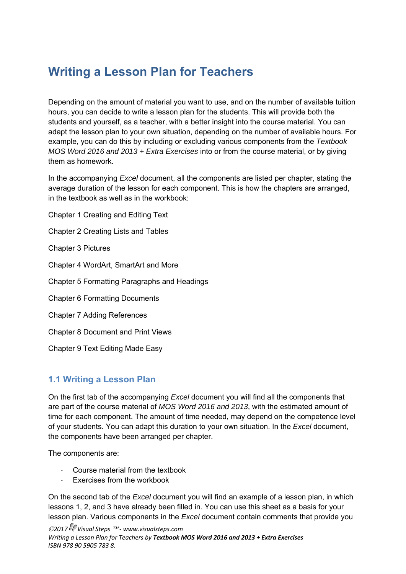# **Writing a Lesson Plan for Teachers**

Depending on the amount of material you want to use, and on the number of available tuition hours, you can decide to write a lesson plan for the students. This will provide both the students and yourself, as a teacher, with a better insight into the course material. You can adapt the lesson plan to your own situation, depending on the number of available hours. For example, you can do this by including or excluding various components from the *Textbook MOS Word 2016 and 2013 + Extra Exercises* into or from the course material, or by giving them as homework.

In the accompanying *Excel* document, all the components are listed per chapter, stating the average duration of the lesson for each component. This is how the chapters are arranged, in the textbook as well as in the workbook:

Chapter 1 Creating and Editing Text

Chapter 2 Creating Lists and Tables

Chapter 3 Pictures

Chapter 4 WordArt, SmartArt and More

Chapter 5 Formatting Paragraphs and Headings

Chapter 6 Formatting Documents

Chapter 7 Adding References

Chapter 8 Document and Print Views

Chapter 9 Text Editing Made Easy

### **1.1 Writing a Lesson Plan**

On the first tab of the accompanying *Excel* document you will find all the components that are part of the course material of *MOS Word 2016 and 2013*, with the estimated amount of time for each component. The amount of time needed, may depend on the competence level of your students. You can adapt this duration to your own situation. In the *Excel* document, the components have been arranged per chapter.

The components are:

- ‐ Course material from the textbook
- Exercises from the workbook

On the second tab of the *Excel* document you will find an example of a lesson plan, in which lessons 1, 2, and 3 have already been filled in. You can use this sheet as a basis for your lesson plan. Various components in the *Excel* document contain comments that provide you

*2017 Visual Steps ‐ www.visualsteps.com Writing a Lesson Plan for Teachers by Textbook MOS Word 2016 and 2013 + Extra Exercises ISBN 978 90 5905 783 8.*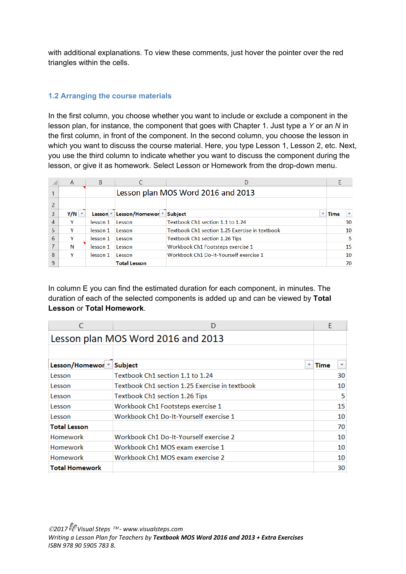with additional explanations. To view these comments, just hover the pointer over the red triangles within the cells.

#### **1.2 Arranging the course materials**

In the first column, you choose whether you want to include or exclude a component in the lesson plan, for instance, the component that goes with Chapter 1. Just type a *Y* or an *N* in the first column, in front of the component. In the second column, you choose the lesson in which you want to discuss the course material. Here, you type Lesson 1, Lesson 2, etc. Next, you use the third column to indicate whether you want to discuss the component during the lesson, or give it as homework. Select Lesson or Homework from the drop-down menu.

|   | A   | B.       |                           |                                                |             |  |  |  |  |
|---|-----|----------|---------------------------|------------------------------------------------|-------------|--|--|--|--|
|   |     |          |                           | Lesson plan MOS Word 2016 and 2013             |             |  |  |  |  |
|   |     |          |                           |                                                |             |  |  |  |  |
| 3 | Y/N |          | Lesson ▼ Lesson/Homewor ▼ | <b>Subject</b><br>÷                            | <b>Time</b> |  |  |  |  |
|   |     | lesson 1 | Lesson                    | Textbook Ch1 section 1.1 to 1.24               | 30          |  |  |  |  |
| 5 |     | lesson 1 | Lesson                    | Textbook Ch1 section 1.25 Exercise in textbook | 10          |  |  |  |  |
| 6 |     | lesson 1 | Lesson                    | Textbook Ch1 section 1.26 Tips                 | 5           |  |  |  |  |
|   | N   | lesson 1 | Lesson                    | Workbook Ch1 Footsteps exercise 1              | 15          |  |  |  |  |
| 8 |     | lesson 1 | Lesson                    | Workbook Ch1 Do-It-Yourself exercise 1         | 10          |  |  |  |  |
| 9 |     |          | <b>Total Lesson</b>       |                                                | 70          |  |  |  |  |

In column E you can find the estimated duration for each component, in minutes. The duration of each of the selected components is added up and can be viewed by **Total Lesson** or **Total Homework**.

| C                           | D                                              | E           |                          |  |  |  |  |  |  |  |
|-----------------------------|------------------------------------------------|-------------|--------------------------|--|--|--|--|--|--|--|
|                             | Lesson plan MOS Word 2016 and 2013             |             |                          |  |  |  |  |  |  |  |
|                             |                                                |             |                          |  |  |  |  |  |  |  |
| Lesson/Homewor <sup>-</sup> | <b>Subject</b><br>$\overline{\mathbf{v}}$      | <b>Time</b> | $\overline{\phantom{a}}$ |  |  |  |  |  |  |  |
| Lesson                      | Textbook Ch1 section 1.1 to 1.24               |             | 30                       |  |  |  |  |  |  |  |
| Lesson                      | Textbook Ch1 section 1.25 Exercise in textbook |             | 10                       |  |  |  |  |  |  |  |
| Lesson                      | Textbook Ch1 section 1.26 Tips                 |             | 5                        |  |  |  |  |  |  |  |
| Lesson                      | Workbook Ch1 Footsteps exercise 1              |             | 15                       |  |  |  |  |  |  |  |
| Lesson                      | Workbook Ch1 Do-It-Yourself exercise 1         |             | 10                       |  |  |  |  |  |  |  |
| <b>Total Lesson</b>         |                                                |             | 70                       |  |  |  |  |  |  |  |
| Homework                    | Workbook Ch1 Do-It-Yourself exercise 2         |             | 10                       |  |  |  |  |  |  |  |
| Homework                    | Workbook Ch1 MOS exam exercise 1               |             | 10                       |  |  |  |  |  |  |  |
| <b>Homework</b>             | Workbook Ch1 MOS exam exercise 2               |             | 10                       |  |  |  |  |  |  |  |
| <b>Total Homework</b>       |                                                |             | 30                       |  |  |  |  |  |  |  |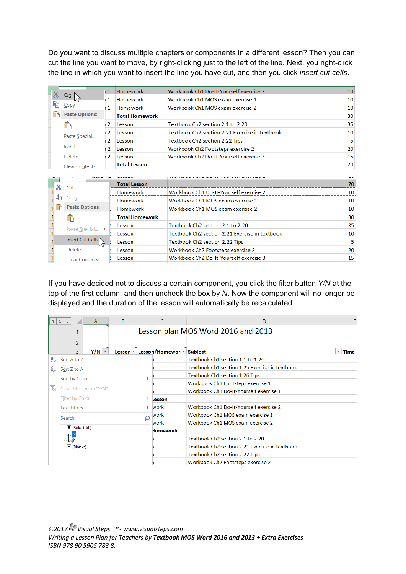Do you want to discuss multiple chapters or components in a different lesson? Then you can cut the line you want to move, by right-clicking just to the left of the line. Next, you right-click the line in which you want to insert the line you have cut, and then you click *insert cut cells*.

| 10<br>10<br>10<br>30<br>35<br>Textbook Ch2 section 2.21 Exercise in textbook |
|------------------------------------------------------------------------------|
|                                                                              |
|                                                                              |
|                                                                              |
|                                                                              |
|                                                                              |
| 10                                                                           |
| 5                                                                            |
| 20                                                                           |
| 15                                                                           |
| 70                                                                           |
|                                                                              |
| 70                                                                           |
| 10                                                                           |
| 10                                                                           |
| 10                                                                           |
| 30                                                                           |
| 35                                                                           |
| Textbook Ch <sub>2</sub> section 2.21 Exercise in textbook<br>10             |
|                                                                              |
|                                                                              |
| 5<br>20                                                                      |
|                                                                              |

If you have decided not to discuss a certain component, you click the filter button *Y/N* at the top of the first column, and then uncheck the box by *N*. Now the component will no longer be displayed and the duration of the lesson will automatically be recalculated.

|                       | 2<br>-3                    | $\mathsf{A}$ | B | C                                                       | D                                              |             | E |
|-----------------------|----------------------------|--------------|---|---------------------------------------------------------|------------------------------------------------|-------------|---|
|                       |                            |              |   |                                                         | Lesson plan MOS Word 2016 and 2013             |             |   |
|                       | 2                          |              |   |                                                         |                                                |             |   |
|                       | 3                          | $Y/N$ $\sim$ |   | Lesson <sup>v</sup> Lesson/Homewor <sup>v</sup> Subject |                                                | <b>Time</b> |   |
|                       | $\frac{A}{2}$ Sort A to Z  |              |   |                                                         | Textbook Ch1 section 1.1 to 1.24               |             |   |
|                       | $\overline{A}$ Sort Z to A |              |   |                                                         | Textbook Ch1 section 1.25 Exercise in textbook |             |   |
|                       | Sort by Color              |              |   | Þ                                                       | Textbook Ch1 section 1.26 Tips                 |             |   |
|                       | Clear Filter From "Y/N"    |              |   |                                                         | Workbook Ch1 Footsteps exercise 1              |             |   |
| $\mathbb{I}_{\infty}$ |                            |              |   |                                                         | Workbook Ch1 Do-It-Yourself exercise 1         |             |   |
|                       | Filter by Color            |              |   | Lesson                                                  |                                                |             |   |
|                       | <b>Text Eilters</b>        |              |   | ▶ work                                                  | Workbook Ch1 Do-It-Yourself exercise 2         |             |   |
|                       | Search                     |              |   | work                                                    | Workbook Ch1 MOS exam exercise 1               |             |   |
|                       |                            |              |   | work                                                    | Workbook Ch1 MOS exam exercise 2               |             |   |
|                       | ∙■ (Select All)            |              |   | <b>Iomework</b>                                         |                                                |             |   |
|                       |                            |              |   |                                                         | Textbook Ch2 section 2.1 to 2.20               |             |   |
|                       | ⊡ (Blanks)                 |              |   |                                                         | Textbook Ch2 section 2.21 Exercise in textbook |             |   |
|                       |                            |              |   |                                                         | Textbook Ch2 section 2.22 Tips                 |             |   |
|                       |                            |              |   |                                                         | Workbook Ch2 Footsteps exercise 2              |             |   |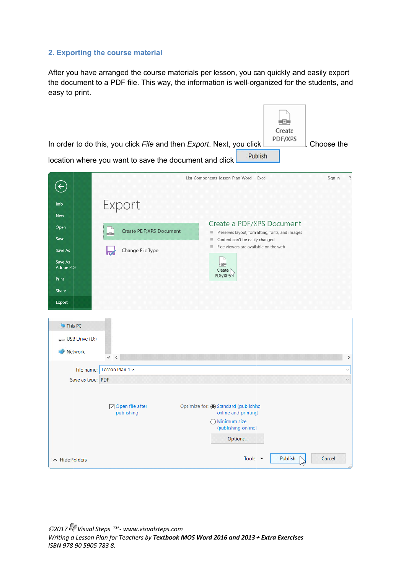## 2. Exporting the course material

After you have arranged the course materials per lesson, you can quickly and easily export the document to a PDF file. This way, the information is well-organized for the students, and easy to print.

|                                                                                      | In order to do this, you click File and then Export. Next, you click<br>location where you want to save the document and click | . 0.<br>Create<br>PDF/XPS<br>Publish                                                                                                       | Choose the                   |
|--------------------------------------------------------------------------------------|--------------------------------------------------------------------------------------------------------------------------------|--------------------------------------------------------------------------------------------------------------------------------------------|------------------------------|
| $\leftarrow$                                                                         |                                                                                                                                | List_Components_Lesson_Plan_Word - Excel                                                                                                   | $\ddot{?}$<br>Sign in        |
| Info<br><b>New</b>                                                                   | Export                                                                                                                         | Create a PDF/XPS Document                                                                                                                  |                              |
| Open<br>Save<br>Save As                                                              | Create PDF/XPS Document<br>i-o-i<br>Change File Type                                                                           | Preserves layout, formatting, fonts, and images<br>圖<br>Content can't be easily changed<br>圓<br>Free viewers are available on the web<br>服 |                              |
| Save As<br>Adobe PDF<br>Print<br>Share<br>Export<br>This PC<br>$\sim$ USB Drive (D:) |                                                                                                                                | ⊨⊡≡<br>Create<br>PDF/XPSV                                                                                                                  |                              |
| Network                                                                              | $\,<\,$                                                                                                                        |                                                                                                                                            | ⋗                            |
| File name:<br>Save as type: PDF                                                      | Lesson Plan 1-3                                                                                                                |                                                                                                                                            | $\checkmark$<br>$\checkmark$ |
|                                                                                      | ○ Open file after<br>publishing                                                                                                | Optimize for: Co Standard (publishing<br>online and printing)<br>$\bigcap$ Minimum size<br>(publishing online)<br>Options                  |                              |
| A Hide Folders                                                                       |                                                                                                                                | Tools $\blacktriangledown$<br>Publish<br>^⊾                                                                                                | Cancel                       |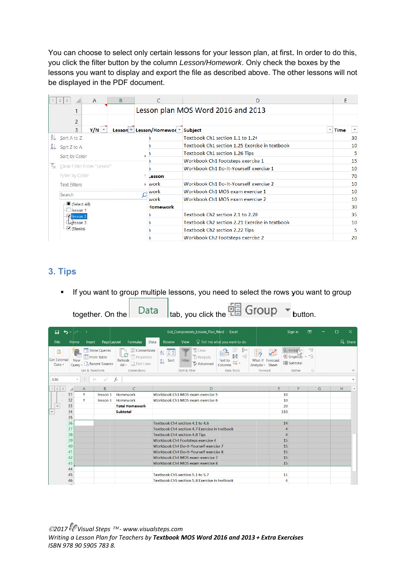You can choose to select only certain lessons for your lesson plan, at first. In order to do this, you click the filter button by the column *Lesson/Homework*. Only check the boxes by the lessons you want to display and export the file as described above. The other lessons will not be displayed in the PDF document.

|    | $2 \mid 3$              | $\overline{A}$                                | <sub>B</sub> | C                                                       | D                                              | E           |    |
|----|-------------------------|-----------------------------------------------|--------------|---------------------------------------------------------|------------------------------------------------|-------------|----|
|    |                         |                                               |              |                                                         | Lesson plan MOS Word 2016 and 2013             |             |    |
|    | $\overline{2}$<br>3     | $Y/N$ $\sqrt{ }$                              |              | Lesson <sup>v</sup> Lesson/Homewor <sup>v</sup> Subject |                                                | <b>Time</b> |    |
| 头  | Sort A to Z             |                                               |              |                                                         | Textbook Ch1 section 1.1 to 1.24               |             | 30 |
| ÁJ | Sort Z to A             |                                               |              |                                                         | Textbook Ch1 section 1.25 Exercise in textbook |             | 10 |
|    |                         |                                               |              |                                                         | Textbook Ch1 section 1.26 Tips                 |             | 5  |
|    | Sort by Color           |                                               |              |                                                         | Workbook Ch1 Footsteps exercise 1              |             | 15 |
|    |                         | Clear Filter From "Lesson"<br>Filter by Color |              |                                                         | Workbook Ch1 Do-It-Yourself exercise 1         |             | 10 |
|    |                         |                                               |              |                                                         |                                                |             | 70 |
|    | <b>Text Filters</b>     |                                               |              | $\triangleright$ work                                   | Workbook Ch1 Do-It-Yourself exercise 2         |             | 10 |
|    | Search                  |                                               |              | work                                                    | Workbook Ch1 MOS exam exercise 1               |             | 10 |
|    |                         |                                               |              | work                                                    | Workbook Ch1 MOS exam exercise 2               |             | 10 |
|    | Select All)<br>lesson 1 |                                               |              | <b>Homework</b>                                         |                                                |             | 30 |
|    | <b>K</b> lesson 2       |                                               |              |                                                         | Textbook Ch <sub>2</sub> section 2.1 to 2.20   |             | 35 |
|    |                         | $A$ <sup>Tesson</sup> 3                       |              |                                                         | Textbook Ch2 section 2.21 Exercise in textbook |             | 10 |
|    | $\vee$ (Blanks)         |                                               |              |                                                         | Textbook Ch2 section 2.22 Tips                 |             | 5  |
|    |                         |                                               |              |                                                         | Workbook Ch2 Footsteps exercise 2              |             | 20 |

# **3. Tips s**

• If you want to group multiple lessons, you need to select the rows you want to group

 $F = G$ roup

 $Rate$ 

|              |                                    |                      |                                  | together. On the                                        | Data                                                                                       |                                                       | Itab, you click the $\overline{L}$ and $\overline{L}$            |                                                                                    |                                                  |                                                                    | button.                        |   |        |                  |
|--------------|------------------------------------|----------------------|----------------------------------|---------------------------------------------------------|--------------------------------------------------------------------------------------------|-------------------------------------------------------|------------------------------------------------------------------|------------------------------------------------------------------------------------|--------------------------------------------------|--------------------------------------------------------------------|--------------------------------|---|--------|------------------|
|              | П                                  | $\ddot{\phantom{0}}$ | $\mathcal{O} \subset \mathbb{R}$ |                                                         |                                                                                            |                                                       | List_Components_Lesson_Plan_Word - Excel                         |                                                                                    |                                                  | Sign in                                                            | 囨                              |   | $\Box$ | $\times$         |
|              | File                               | Home                 | Insert                           | Page Layout                                             | Formulas                                                                                   | Review<br>Data                                        | View                                                             | $\Omega$ Tell me what you want to do                                               |                                                  |                                                                    |                                |   |        | $\beta$ Share    |
|              | P<br><b>Get External</b><br>Data - | <b>New</b>           | Get & Transform                  | Show Queries<br>From Table<br>Query - Lo Recent Sources | Connections<br>£<br><b>E</b> Properties<br>Refresh<br>edit Links<br>$All -$<br>Connections | 钆<br>$\left  \frac{Z}{A} \right  \frac{A}{Z}$<br>Sort | Clear<br><b>E</b> Reapply<br>Filter<br>Advanced<br>Sort & Filter | ⊩<br>B-B<br>$\alpha^{\rm G}_{\rm G}$<br>Text to<br>$\Xi'$<br>Columns<br>Data Tools | What-If Forecast<br>Analysis v Sheet<br>Forecast | <b>电 Group</b><br><b>帽 Ungroup</b><br><b>  Subtotal</b><br>Outline | 恒<br>$\overline{\mathbb{F}_2}$ |   |        | $\wedge$         |
| A36          |                                    | v                    |                                  |                                                         | fx                                                                                         |                                                       |                                                                  |                                                                                    |                                                  |                                                                    |                                |   |        | v                |
| $\mathbf{1}$ | 2<br>$\ensuremath{\mathsf{3}}$     |                      | $\overline{A}$                   | B                                                       | C                                                                                          |                                                       | D                                                                |                                                                                    | E                                                | F                                                                  |                                | G | H      | $\blacktriangle$ |
|              |                                    | 31                   | Y                                | lesson 3                                                | Homework                                                                                   |                                                       | Workbook Ch3 MOS exam exercise 5                                 |                                                                                    |                                                  | 10                                                                 |                                |   |        |                  |
|              |                                    | 32                   | Y                                | lesson 3                                                | Homework                                                                                   |                                                       | Workbook Ch3 MOS exam exercise 6                                 |                                                                                    |                                                  | 10                                                                 |                                |   |        |                  |
|              |                                    | 33                   |                                  |                                                         | <b>Total Homework</b>                                                                      |                                                       |                                                                  |                                                                                    |                                                  | 20                                                                 |                                |   |        |                  |
|              |                                    | 34                   |                                  |                                                         | <b>Subtotal</b>                                                                            |                                                       |                                                                  |                                                                                    |                                                  | 310                                                                |                                |   |        |                  |
|              |                                    | 35                   |                                  |                                                         |                                                                                            |                                                       |                                                                  |                                                                                    |                                                  |                                                                    |                                |   |        |                  |
|              |                                    | 36                   |                                  |                                                         |                                                                                            |                                                       | Textbook Ch4 section 4.1 to 4.6                                  |                                                                                    |                                                  | 14                                                                 |                                |   |        |                  |
|              |                                    | 37                   |                                  |                                                         |                                                                                            |                                                       | Textbook Ch4 section 4.7 Exercise in textbook                    |                                                                                    |                                                  | 4                                                                  |                                |   |        |                  |
|              |                                    | 38                   |                                  |                                                         |                                                                                            |                                                       | Textbook Ch4 section 4.8 Tips                                    |                                                                                    |                                                  | 4                                                                  |                                |   |        |                  |
|              |                                    | 39                   |                                  |                                                         |                                                                                            |                                                       | Workbook Ch4 Footsteps exercise 4                                |                                                                                    |                                                  | 15                                                                 |                                |   |        |                  |
|              |                                    | 40                   |                                  |                                                         |                                                                                            |                                                       | Workbook Ch4 Do-It-Yourself exercise 7                           |                                                                                    |                                                  | 15                                                                 |                                |   |        |                  |
|              |                                    | 41                   |                                  |                                                         |                                                                                            |                                                       | Workbook Ch4 Do-It-Yourself exercise 8                           |                                                                                    |                                                  | 15                                                                 |                                |   |        |                  |
|              |                                    | 42                   |                                  |                                                         |                                                                                            |                                                       | Workbook Ch4 MOS exam exercise 7                                 |                                                                                    |                                                  | 15                                                                 |                                |   |        |                  |
|              |                                    | 43                   |                                  |                                                         |                                                                                            |                                                       | Workbook Ch4 MOS exam exercise 8                                 |                                                                                    |                                                  | 15                                                                 |                                |   |        |                  |
|              |                                    | 44                   |                                  |                                                         |                                                                                            |                                                       |                                                                  |                                                                                    |                                                  |                                                                    |                                |   |        |                  |
|              |                                    | 45                   |                                  |                                                         |                                                                                            |                                                       | Textbook Ch5 section 5.1 to 5.7                                  |                                                                                    |                                                  | 11                                                                 |                                |   |        |                  |
|              |                                    | 46                   |                                  |                                                         |                                                                                            |                                                       | Textbook Ch5 section 5.8 Exercise in textbook                    |                                                                                    |                                                  | $\overline{4}$                                                     |                                |   |        |                  |